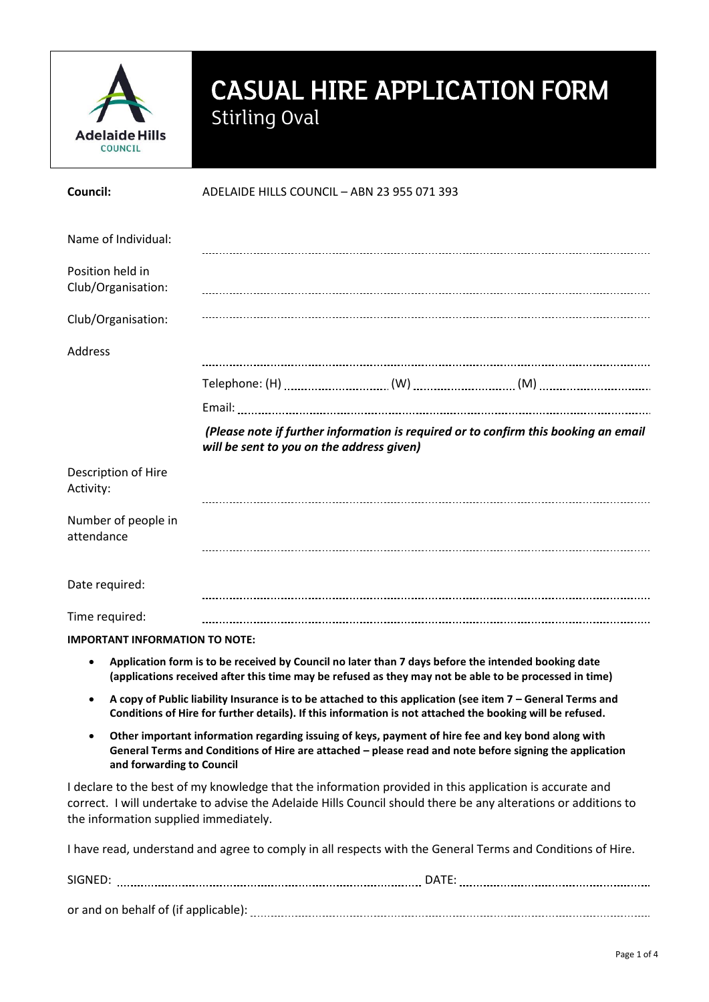

## CASUAL HIRE APPLICATION FORM Stirling Oval

| Council:                               | ADELAIDE HILLS COUNCIL - ABN 23 955 071 393                                                               |  |                                                                                                                                                                                                                           |  |
|----------------------------------------|-----------------------------------------------------------------------------------------------------------|--|---------------------------------------------------------------------------------------------------------------------------------------------------------------------------------------------------------------------------|--|
| Name of Individual:                    |                                                                                                           |  |                                                                                                                                                                                                                           |  |
| Position held in<br>Club/Organisation: |                                                                                                           |  |                                                                                                                                                                                                                           |  |
| Club/Organisation:                     |                                                                                                           |  |                                                                                                                                                                                                                           |  |
| Address                                |                                                                                                           |  |                                                                                                                                                                                                                           |  |
|                                        |                                                                                                           |  |                                                                                                                                                                                                                           |  |
|                                        |                                                                                                           |  |                                                                                                                                                                                                                           |  |
|                                        | will be sent to you on the address given)                                                                 |  | (Please note if further information is required or to confirm this booking an email                                                                                                                                       |  |
| Description of Hire<br>Activity:       |                                                                                                           |  |                                                                                                                                                                                                                           |  |
| Number of people in<br>attendance      |                                                                                                           |  |                                                                                                                                                                                                                           |  |
| Date required:                         |                                                                                                           |  |                                                                                                                                                                                                                           |  |
| Time required:                         |                                                                                                           |  |                                                                                                                                                                                                                           |  |
| <b>IMPORTANT INFORMATION TO NOTE:</b>  |                                                                                                           |  |                                                                                                                                                                                                                           |  |
| ٠                                      | Application form is to be received by Council no later than 7 days before the intended booking date       |  | (applications received after this time may be refused as they may not be able to be processed in time)                                                                                                                    |  |
|                                        | Conditions of Hire for further details). If this information is not attached the booking will be refused. |  | A copy of Public liability Insurance is to be attached to this application (see item 7 - General Terms and                                                                                                                |  |
| and forwarding to Council              |                                                                                                           |  | Other important information regarding issuing of keys, payment of hire fee and key bond along with<br>General Terms and Conditions of Hire are attached - please read and note before signing the application             |  |
| the information supplied immediately.  |                                                                                                           |  | I declare to the best of my knowledge that the information provided in this application is accurate and<br>correct. I will undertake to advise the Adelaide Hills Council should there be any alterations or additions to |  |
|                                        |                                                                                                           |  | I have read, understand and agree to comply in all respects with the General Terms and Conditions of Hire.                                                                                                                |  |
|                                        |                                                                                                           |  |                                                                                                                                                                                                                           |  |

or and on behalf of (if applicable):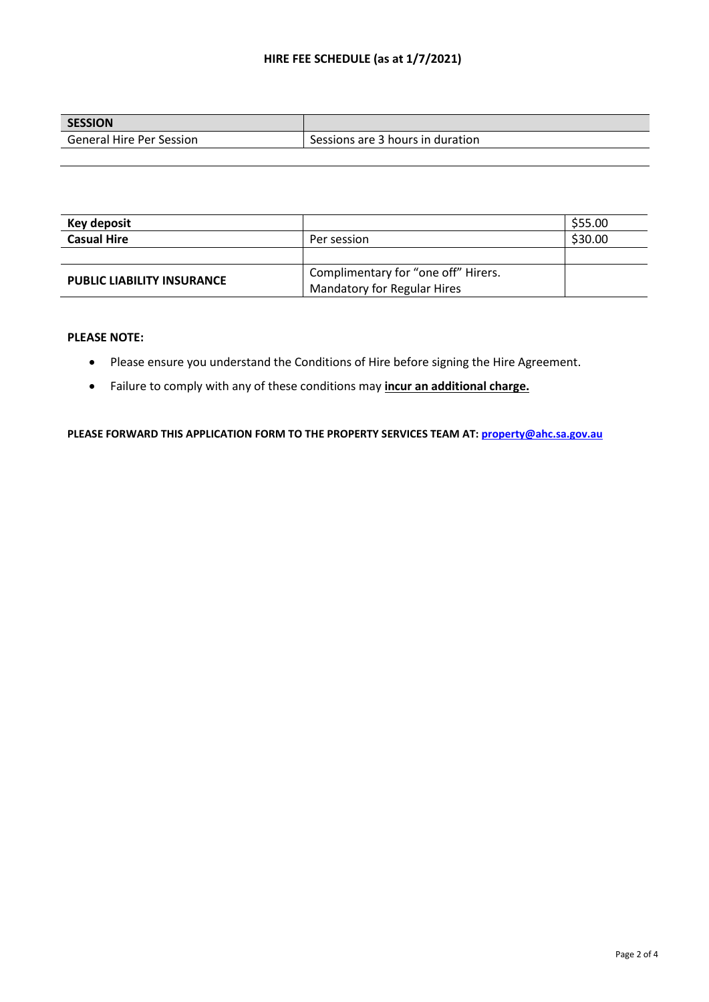## **HIRE FEE SCHEDULE (as at 1/7/2021)**

| <b>SESSION</b>                  |                                  |
|---------------------------------|----------------------------------|
| <b>General Hire Per Session</b> | Sessions are 3 hours in duration |

| Key deposit                       |                                     | \$55.00 |
|-----------------------------------|-------------------------------------|---------|
| <b>Casual Hire</b>                | Per session                         | \$30.00 |
|                                   |                                     |         |
|                                   | Complimentary for "one off" Hirers. |         |
| <b>PUBLIC LIABILITY INSURANCE</b> | Mandatory for Regular Hires         |         |

## **PLEASE NOTE:**

- Please ensure you understand the Conditions of Hire before signing the Hire Agreement.
- Failure to comply with any of these conditions may **incur an additional charge.**

**PLEASE FORWARD THIS APPLICATION FORM TO THE PROPERTY SERVICES TEAM AT[: property@ahc.sa.gov.au](mailto:property@ahc.sa.gov.au)**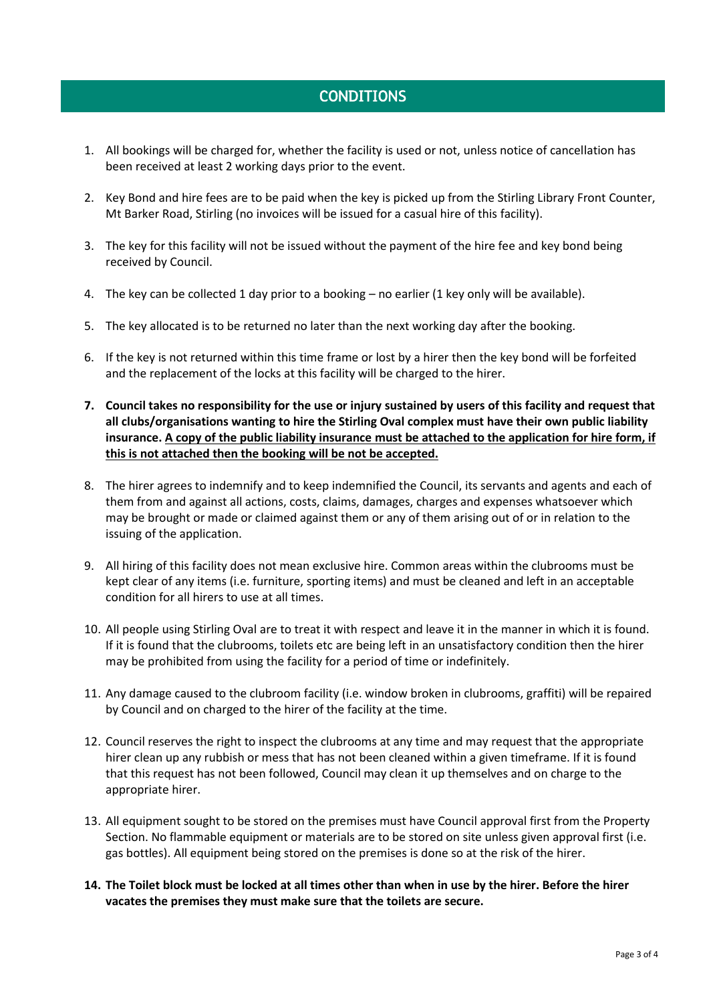## CONDITIONS

- 1. All bookings will be charged for, whether the facility is used or not, unless notice of cancellation has been received at least 2 working days prior to the event.
- 2. Key Bond and hire fees are to be paid when the key is picked up from the Stirling Library Front Counter, Mt Barker Road, Stirling (no invoices will be issued for a casual hire of this facility).
- 3. The key for this facility will not be issued without the payment of the hire fee and key bond being received by Council.
- 4. The key can be collected 1 day prior to a booking no earlier (1 key only will be available).
- 5. The key allocated is to be returned no later than the next working day after the booking.
- 6. If the key is not returned within this time frame or lost by a hirer then the key bond will be forfeited and the replacement of the locks at this facility will be charged to the hirer.
- **7. Council takes no responsibility for the use or injury sustained by users of this facility and request that all clubs/organisations wanting to hire the Stirling Oval complex must have their own public liability insurance. A copy of the public liability insurance must be attached to the application for hire form, if this is not attached then the booking will be not be accepted.**
- 8. The hirer agrees to indemnify and to keep indemnified the Council, its servants and agents and each of them from and against all actions, costs, claims, damages, charges and expenses whatsoever which may be brought or made or claimed against them or any of them arising out of or in relation to the issuing of the application.
- 9. All hiring of this facility does not mean exclusive hire. Common areas within the clubrooms must be kept clear of any items (i.e. furniture, sporting items) and must be cleaned and left in an acceptable condition for all hirers to use at all times.
- 10. All people using Stirling Oval are to treat it with respect and leave it in the manner in which it is found. If it is found that the clubrooms, toilets etc are being left in an unsatisfactory condition then the hirer may be prohibited from using the facility for a period of time or indefinitely.
- 11. Any damage caused to the clubroom facility (i.e. window broken in clubrooms, graffiti) will be repaired by Council and on charged to the hirer of the facility at the time.
- 12. Council reserves the right to inspect the clubrooms at any time and may request that the appropriate hirer clean up any rubbish or mess that has not been cleaned within a given timeframe. If it is found that this request has not been followed, Council may clean it up themselves and on charge to the appropriate hirer.
- 13. All equipment sought to be stored on the premises must have Council approval first from the Property Section. No flammable equipment or materials are to be stored on site unless given approval first (i.e. gas bottles). All equipment being stored on the premises is done so at the risk of the hirer.
- **14. The Toilet block must be locked at all times other than when in use by the hirer. Before the hirer vacates the premises they must make sure that the toilets are secure.**